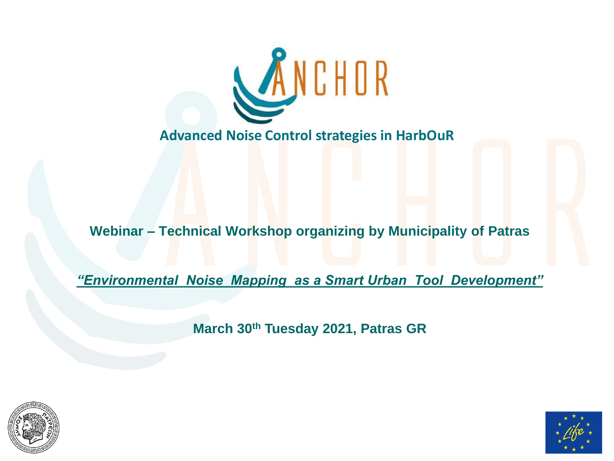

# **Webinar – Technical Workshop organizing by Municipality of Patras**

*"Environmental Noise Mapping as a Smart Urban Tool Development"*

**March 30th Tuesday 2021, Patras GR**